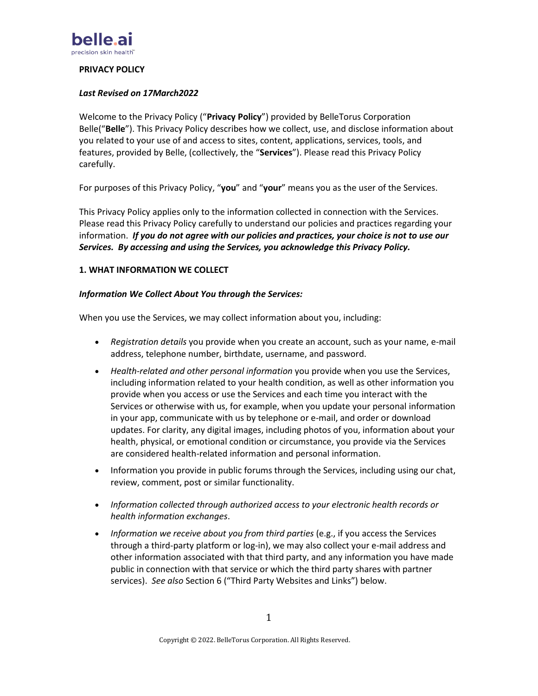

## **PRIVACY POLICY**

#### *Last Revised on 17March2022*

Welcome to the Privacy Policy ("**Privacy Policy**") provided by BelleTorus Corporation Belle("**Belle**"). This Privacy Policy describes how we collect, use, and disclose information about you related to your use of and access to sites, content, applications, services, tools, and features, provided by Belle, (collectively, the "**Services**"). Please read this Privacy Policy carefully.

For purposes of this Privacy Policy, "**you**" and "**your**" means you as the user of the Services.

This Privacy Policy applies only to the information collected in connection with the Services. Please read this Privacy Policy carefully to understand our policies and practices regarding your information. *If you do not agree with our policies and practices, your choice is not to use our Services. By accessing and using the Services, you acknowledge this Privacy Policy.*

#### **1. WHAT INFORMATION WE COLLECT**

#### *Information We Collect About You through the Services:*

When you use the Services, we may collect information about you, including:

- *Registration details* you provide when you create an account, such as your name, e-mail address, telephone number, birthdate, username, and password.
- *Health-related and other personal information* you provide when you use the Services, including information related to your health condition, as well as other information you provide when you access or use the Services and each time you interact with the Services or otherwise with us, for example, when you update your personal information in your app, communicate with us by telephone or e-mail, and order or download updates. For clarity, any digital images, including photos of you, information about your health, physical, or emotional condition or circumstance, you provide via the Services are considered health-related information and personal information.
- Information you provide in public forums through the Services, including using our chat, review, comment, post or similar functionality.
- *Information collected through authorized access to your electronic health records or health information exchanges*.
- *Information we receive about you from third parties* (e.g., if you access the Services through a third-party platform or log-in), we may also collect your e-mail address and other information associated with that third party, and any information you have made public in connection with that service or which the third party shares with partner services). *See also* Section 6 ("Third Party Websites and Links") below.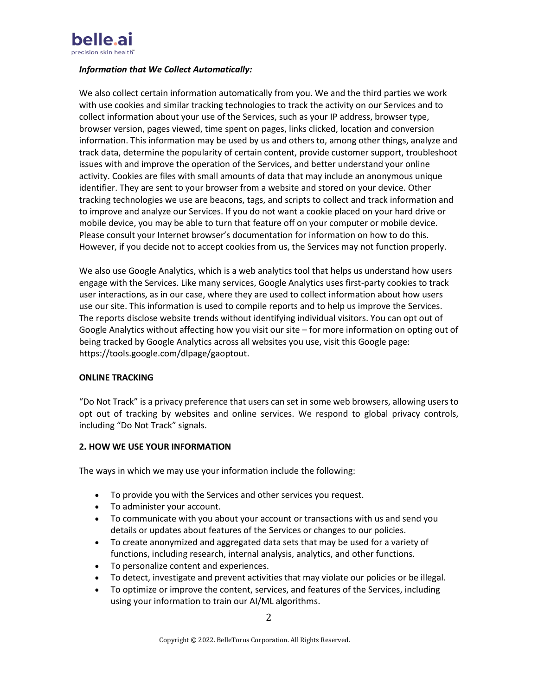

#### *Information that We Collect Automatically:*

We also collect certain information automatically from you. We and the third parties we work with use cookies and similar tracking technologies to track the activity on our Services and to collect information about your use of the Services, such as your IP address, browser type, browser version, pages viewed, time spent on pages, links clicked, location and conversion information. This information may be used by us and others to, among other things, analyze and track data, determine the popularity of certain content, provide customer support, troubleshoot issues with and improve the operation of the Services, and better understand your online activity. Cookies are files with small amounts of data that may include an anonymous unique identifier. They are sent to your browser from a website and stored on your device. Other tracking technologies we use are beacons, tags, and scripts to collect and track information and to improve and analyze our Services. If you do not want a cookie placed on your hard drive or mobile device, you may be able to turn that feature off on your computer or mobile device. Please consult your Internet browser's documentation for information on how to do this. However, if you decide not to accept cookies from us, the Services may not function properly.

We also use Google Analytics, which is a web analytics tool that helps us understand how users engage with the Services. Like many services, Google Analytics uses first-party cookies to track user interactions, as in our case, where they are used to collect information about how users use our site. This information is used to compile reports and to help us improve the Services. The reports disclose website trends without identifying individual visitors. You can opt out of Google Analytics without affecting how you visit our site – for more information on opting out of being tracked by Google Analytics across all websites you use, visit this Google page: [https://tools.google.com/dlpage/gaoptout.](https://tools.google.com/dlpage/gaoptout)

## **ONLINE TRACKING**

"Do Not Track" is a privacy preference that users can set in some web browsers, allowing users to opt out of tracking by websites and online services. We respond to global privacy controls, including "Do Not Track" signals.

## **2. HOW WE USE YOUR INFORMATION**

The ways in which we may use your information include the following:

- To provide you with the Services and other services you request.
- To administer your account.
- To communicate with you about your account or transactions with us and send you details or updates about features of the Services or changes to our policies.
- To create anonymized and aggregated data sets that may be used for a variety of functions, including research, internal analysis, analytics, and other functions.
- To personalize content and experiences.
- To detect, investigate and prevent activities that may violate our policies or be illegal.
- To optimize or improve the content, services, and features of the Services, including using your information to train our AI/ML algorithms.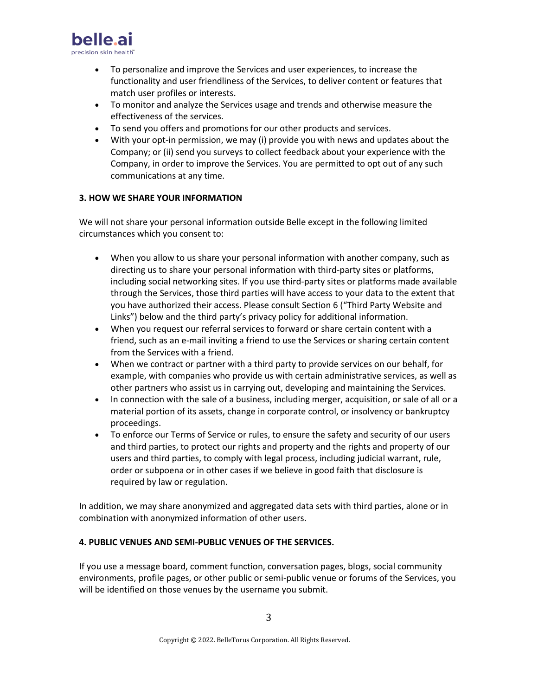

- To personalize and improve the Services and user experiences, to increase the functionality and user friendliness of the Services, to deliver content or features that match user profiles or interests.
- To monitor and analyze the Services usage and trends and otherwise measure the effectiveness of the services.
- To send you offers and promotions for our other products and services.
- With your opt-in permission, we may (i) provide you with news and updates about the Company; or (ii) send you surveys to collect feedback about your experience with the Company, in order to improve the Services. You are permitted to opt out of any such communications at any time.

## **3. HOW WE SHARE YOUR INFORMATION**

We will not share your personal information outside Belle except in the following limited circumstances which you consent to:

- When you allow to us share your personal information with another company, such as directing us to share your personal information with third-party sites or platforms, including social networking sites. If you use third-party sites or platforms made available through the Services, those third parties will have access to your data to the extent that you have authorized their access. Please consult Section 6 ("Third Party Website and Links") below and the third party's privacy policy for additional information.
- When you request our referral services to forward or share certain content with a friend, such as an e-mail inviting a friend to use the Services or sharing certain content from the Services with a friend.
- When we contract or partner with a third party to provide services on our behalf, for example, with companies who provide us with certain administrative services, as well as other partners who assist us in carrying out, developing and maintaining the Services.
- In connection with the sale of a business, including merger, acquisition, or sale of all or a material portion of its assets, change in corporate control, or insolvency or bankruptcy proceedings.
- To enforce our Terms of Service or rules, to ensure the safety and security of our users and third parties, to protect our rights and property and the rights and property of our users and third parties, to comply with legal process, including judicial warrant, rule, order or subpoena or in other cases if we believe in good faith that disclosure is required by law or regulation.

In addition, we may share anonymized and aggregated data sets with third parties, alone or in combination with anonymized information of other users.

## **4. PUBLIC VENUES AND SEMI-PUBLIC VENUES OF THE SERVICES.**

If you use a message board, comment function, conversation pages, blogs, social community environments, profile pages, or other public or semi-public venue or forums of the Services, you will be identified on those venues by the username you submit.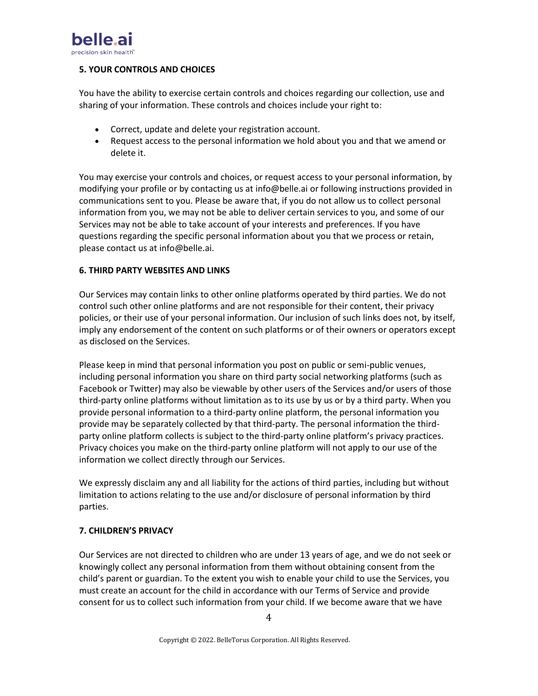

# **5. YOUR CONTROLS AND CHOICES**

You have the ability to exercise certain controls and choices regarding our collection, use and sharing of your information. These controls and choices include your right to:

- Correct, update and delete your registration account.
- Request access to the personal information we hold about you and that we amend or delete it.

You may exercise your controls and choices, or request access to your personal information, by modifying your profile or by contacting us at info@belle.ai or following instructions provided in communications sent to you. Please be aware that, if you do not allow us to collect personal information from you, we may not be able to deliver certain services to you, and some of our Services may not be able to take account of your interests and preferences. If you have questions regarding the specific personal information about you that we process or retain, please contact us at info@belle.ai.

# **6. THIRD PARTY WEBSITES AND LINKS**

Our Services may contain links to other online platforms operated by third parties. We do not control such other online platforms and are not responsible for their content, their privacy policies, or their use of your personal information. Our inclusion of such links does not, by itself, imply any endorsement of the content on such platforms or of their owners or operators except as disclosed on the Services.

Please keep in mind that personal information you post on public or semi-public venues, including personal information you share on third party social networking platforms (such as Facebook or Twitter) may also be viewable by other users of the Services and/or users of those third-party online platforms without limitation as to its use by us or by a third party. When you provide personal information to a third-party online platform, the personal information you provide may be separately collected by that third-party. The personal information the thirdparty online platform collects is subject to the third-party online platform's privacy practices. Privacy choices you make on the third-party online platform will not apply to our use of the information we collect directly through our Services.

We expressly disclaim any and all liability for the actions of third parties, including but without limitation to actions relating to the use and/or disclosure of personal information by third parties.

## **7. CHILDREN'S PRIVACY**

Our Services are not directed to children who are under 13 years of age, and we do not seek or knowingly collect any personal information from them without obtaining consent from the child's parent or guardian. To the extent you wish to enable your child to use the Services, you must create an account for the child in accordance with our Terms of Service and provide consent for us to collect such information from your child. If we become aware that we have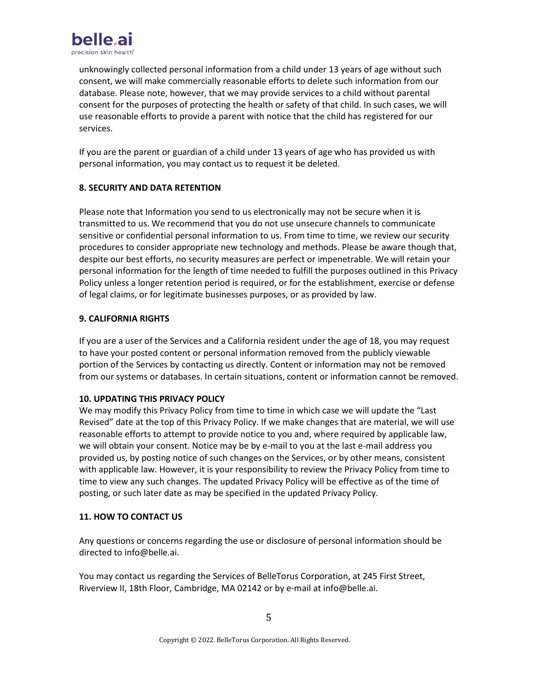

unknowingly collected personal information from a child under 13 years of age without such consent, we will make commercially reasonable efforts to delete such information from our database. Please note, however, that we may provide services to a child without parental consent for the purposes of protecting the health or safety of that child. In such cases, we will use reasonable efforts to provide a parent with notice that the child has registered for our services.

If you are the parent or guardian of a child under 13 years of age who has provided us with personal information, you may contact us to request it be deleted.

# **8. SECURITY AND DATA RETENTION**

Please note that Information you send to us electronically may not be secure when it is transmitted to us. We recommend that you do not use unsecure channels to communicate sensitive or confidential personal information to us. From time to time, we review our security procedures to consider appropriate new technology and methods. Please be aware though that, despite our best efforts, no security measures are perfect or impenetrable. We will retain your personal information for the length of time needed to fulfill the purposes outlined in this Privacy Policy unless a longer retention period is required, or for the establishment, exercise or defense of legal claims, or for legitimate businesses purposes, or as provided by law.

# **9. CALIFORNIA RIGHTS**

If you are a user of the Services and a California resident under the age of 18, you may request to have your posted content or personal information removed from the publicly viewable portion of the Services by contacting us directly. Content or information may not be removed from our systems or databases. In certain situations, content or information cannot be removed.

## **10. UPDATING THIS PRIVACY POLICY**

We may modify this Privacy Policy from time to time in which case we will update the "Last Revised" date at the top of this Privacy Policy. If we make changes that are material, we will use reasonable efforts to attempt to provide notice to you and, where required by applicable law, we will obtain your consent. Notice may be by e-mail to you at the last e-mail address you provided us, by posting notice of such changes on the Services, or by other means, consistent with applicable law. However, it is your responsibility to review the Privacy Policy from time to time to view any such changes. The updated Privacy Policy will be effective as of the time of posting, or such later date as may be specified in the updated Privacy Policy.

## **11. HOW TO CONTACT US**

Any questions or concerns regarding the use or disclosure of personal information should be directed to info@belle.ai.

You may contact us regarding the Services of BelleTorus Corporation, at 245 First Street, Riverview II, 18th Floor, Cambridge, MA 02142 or by e-mail at info@belle.ai.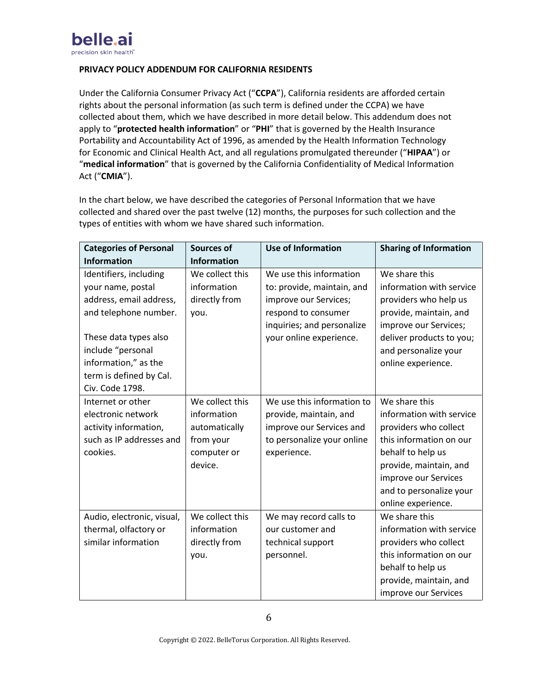

# **PRIVACY POLICY ADDENDUM FOR CALIFORNIA RESIDENTS**

Under the California Consumer Privacy Act ("**CCPA**"), California residents are afforded certain rights about the personal information (as such term is defined under the CCPA) we have collected about them, which we have described in more detail below. This addendum does not apply to "**protected health information**" or "**PHI**" that is governed by the Health Insurance Portability and Accountability Act of 1996, as amended by the Health Information Technology for Economic and Clinical Health Act, and all regulations promulgated thereunder ("**HIPAA**") or "**medical information**" that is governed by the California Confidentiality of Medical Information Act ("**CMIA**").

In the chart below, we have described the categories of Personal Information that we have collected and shared over the past twelve (12) months, the purposes for such collection and the types of entities with whom we have shared such information.

| <b>Categories of Personal</b>                                                                                                                                                                                       | Sources of                                                                             | <b>Use of Information</b>                                                                                                                                      | <b>Sharing of Information</b>                                                                                                                                                                                         |
|---------------------------------------------------------------------------------------------------------------------------------------------------------------------------------------------------------------------|----------------------------------------------------------------------------------------|----------------------------------------------------------------------------------------------------------------------------------------------------------------|-----------------------------------------------------------------------------------------------------------------------------------------------------------------------------------------------------------------------|
| <b>Information</b>                                                                                                                                                                                                  | <b>Information</b>                                                                     |                                                                                                                                                                |                                                                                                                                                                                                                       |
| Identifiers, including<br>your name, postal<br>address, email address,<br>and telephone number.<br>These data types also<br>include "personal<br>information," as the<br>term is defined by Cal.<br>Civ. Code 1798. | We collect this<br>information<br>directly from<br>you.                                | We use this information<br>to: provide, maintain, and<br>improve our Services;<br>respond to consumer<br>inquiries; and personalize<br>your online experience. | We share this<br>information with service<br>providers who help us<br>provide, maintain, and<br>improve our Services;<br>deliver products to you;<br>and personalize your<br>online experience.                       |
| Internet or other<br>electronic network<br>activity information,<br>such as IP addresses and<br>cookies.                                                                                                            | We collect this<br>information<br>automatically<br>from your<br>computer or<br>device. | We use this information to<br>provide, maintain, and<br>improve our Services and<br>to personalize your online<br>experience.                                  | We share this<br>information with service<br>providers who collect<br>this information on our<br>behalf to help us<br>provide, maintain, and<br>improve our Services<br>and to personalize your<br>online experience. |
| Audio, electronic, visual,<br>thermal, olfactory or<br>similar information                                                                                                                                          | We collect this<br>information<br>directly from<br>you.                                | We may record calls to<br>our customer and<br>technical support<br>personnel.                                                                                  | We share this<br>information with service<br>providers who collect<br>this information on our<br>behalf to help us<br>provide, maintain, and<br>improve our Services                                                  |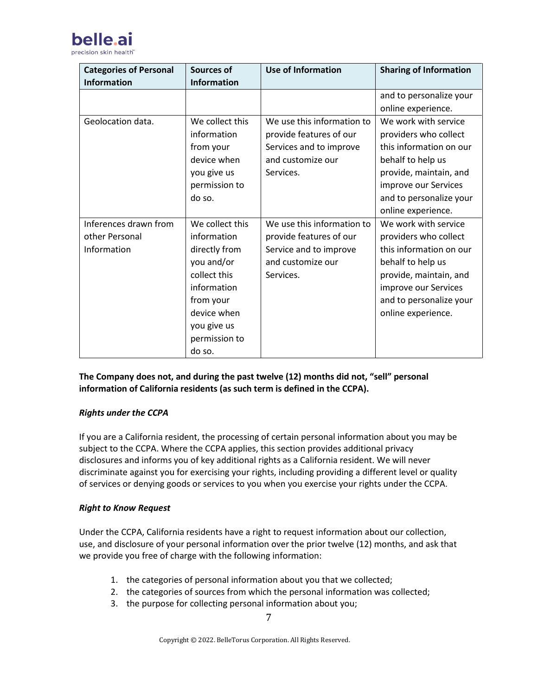

| <b>Categories of Personal</b> | Sources of         | <b>Use of Information</b>  | <b>Sharing of Information</b> |
|-------------------------------|--------------------|----------------------------|-------------------------------|
| <b>Information</b>            | <b>Information</b> |                            |                               |
|                               |                    |                            | and to personalize your       |
|                               |                    |                            | online experience.            |
| Geolocation data.             | We collect this    | We use this information to | We work with service          |
|                               | information        | provide features of our    | providers who collect         |
|                               | from your          | Services and to improve    | this information on our       |
|                               | device when        | and customize our          | behalf to help us             |
|                               | you give us        | Services.                  | provide, maintain, and        |
|                               | permission to      |                            | improve our Services          |
|                               | do so.             |                            | and to personalize your       |
|                               |                    |                            | online experience.            |
| Inferences drawn from         | We collect this    | We use this information to | We work with service          |
| other Personal                | information        | provide features of our    | providers who collect         |
| Information                   | directly from      | Service and to improve     | this information on our       |
|                               | you and/or         | and customize our          | behalf to help us             |
|                               | collect this       | Services.                  | provide, maintain, and        |
|                               | information        |                            | improve our Services          |
|                               | from your          |                            | and to personalize your       |
|                               | device when        |                            | online experience.            |
|                               | you give us        |                            |                               |
|                               | permission to      |                            |                               |
|                               | do so.             |                            |                               |

**The Company does not, and during the past twelve (12) months did not, "sell" personal information of California residents (as such term is defined in the CCPA).**

## *Rights under the CCPA*

If you are a California resident, the processing of certain personal information about you may be subject to the CCPA. Where the CCPA applies, this section provides additional privacy disclosures and informs you of key additional rights as a California resident. We will never discriminate against you for exercising your rights, including providing a different level or quality of services or denying goods or services to you when you exercise your rights under the CCPA.

## *Right to Know Request*

Under the CCPA, California residents have a right to request information about our collection, use, and disclosure of your personal information over the prior twelve (12) months, and ask that we provide you free of charge with the following information:

- 1. the categories of personal information about you that we collected;
- 2. the categories of sources from which the personal information was collected;
- 3. the purpose for collecting personal information about you;